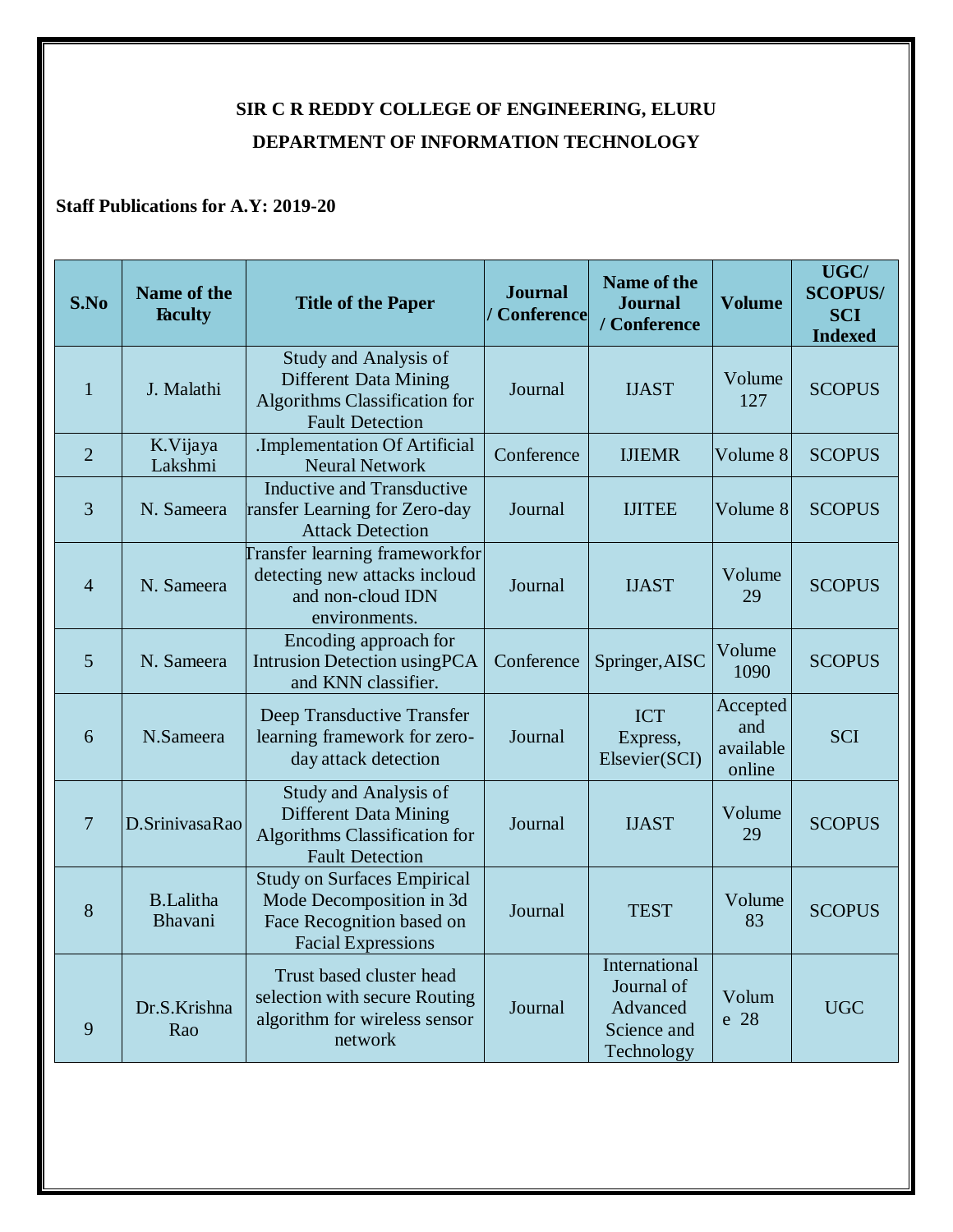## **SIR C R REDDY COLLEGE OF ENGINEERING, ELURU DEPARTMENT OF INFORMATION TECHNOLOGY**

## **Staff Publications for A.Y: 2019-20**

| S.No           | Name of the<br><b>Faculty</b> | <b>Title of the Paper</b>                                                                                                | <b>Journal</b><br>/ Conference | <b>Name of the</b><br><b>Journal</b><br>/ Conference                 | <b>Volume</b>                          | UGC/<br><b>SCOPUS/</b><br><b>SCI</b><br><b>Indexed</b> |
|----------------|-------------------------------|--------------------------------------------------------------------------------------------------------------------------|--------------------------------|----------------------------------------------------------------------|----------------------------------------|--------------------------------------------------------|
| 1              | J. Malathi                    | Study and Analysis of<br><b>Different Data Mining</b><br>Algorithms Classification for<br><b>Fault Detection</b>         | Journal                        | <b>IJAST</b>                                                         | Volume<br>127                          | <b>SCOPUS</b>                                          |
| $\overline{2}$ | K.Vijaya<br>Lakshmi           | .Implementation Of Artificial<br><b>Neural Network</b>                                                                   | Conference                     | <b>IJIEMR</b>                                                        | Volume 8                               | <b>SCOPUS</b>                                          |
| 3              | N. Sameera                    | <b>Inductive and Transductive</b><br>ransfer Learning for Zero-day<br><b>Attack Detection</b>                            | Journal                        | <b>IJITEE</b>                                                        | Volume 8                               | <b>SCOPUS</b>                                          |
| $\overline{4}$ | N. Sameera                    | <b>Transfer learning frameworkfor</b><br>detecting new attacks incloud<br>and non-cloud IDN<br>environments.             | Journal                        | <b>IJAST</b>                                                         | Volume<br>29                           | <b>SCOPUS</b>                                          |
| 5              | N. Sameera                    | Encoding approach for<br><b>Intrusion Detection using PCA</b><br>and KNN classifier.                                     | Conference                     | Springer, AISC                                                       | Volume<br>1090                         | <b>SCOPUS</b>                                          |
| 6              | N.Sameera                     | Deep Transductive Transfer<br>learning framework for zero-<br>day attack detection                                       | Journal                        | <b>ICT</b><br>Express,<br>Elsevier(SCI)                              | Accepted<br>and<br>available<br>online | <b>SCI</b>                                             |
| $\overline{7}$ | D.SrinivasaRao                | Study and Analysis of<br><b>Different Data Mining</b><br><b>Algorithms Classification for</b><br><b>Fault Detection</b>  | Journal                        | <b>IJAST</b>                                                         | Volume<br>29                           | <b>SCOPUS</b>                                          |
| 8              | <b>B.Lalitha</b><br>Bhavani   | <b>Study on Surfaces Empirical</b><br>Mode Decomposition in 3d<br>Face Recognition based on<br><b>Facial Expressions</b> | Journal                        | <b>TEST</b>                                                          | Volume<br>83                           | <b>SCOPUS</b>                                          |
| 9              | Dr.S.Krishna<br>Rao           | Trust based cluster head<br>selection with secure Routing<br>algorithm for wireless sensor<br>network                    | Journal                        | International<br>Journal of<br>Advanced<br>Science and<br>Technology | Volum<br>e 28                          | <b>UGC</b>                                             |